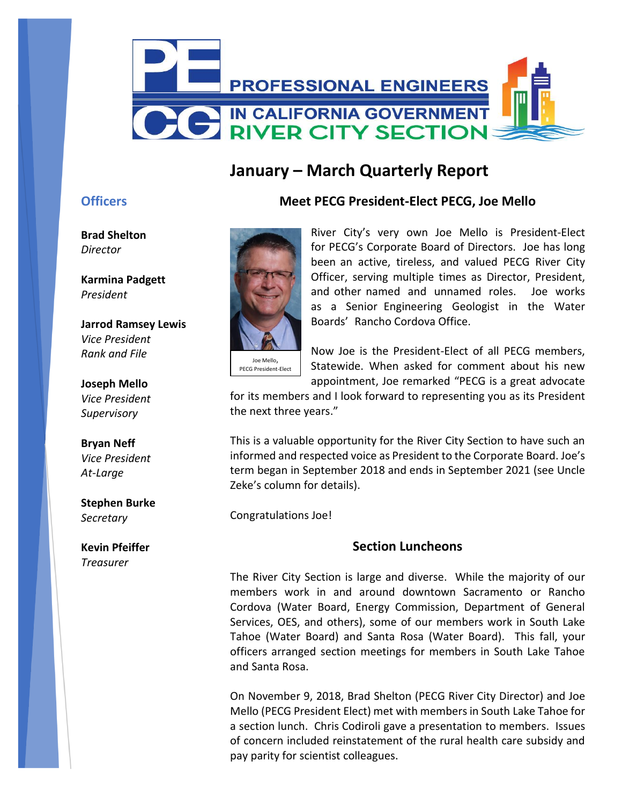

# **January – March Quarterly Report**

### **Officers**

**Brad Shelton** *Director*

**Karmina Padgett** *President*

**Jarrod Ramsey Lewis** *Vice President Rank and File*

**Joseph Mello** *Vice President Supervisory*

**Bryan Neff** *Vice President At-Large*

**Stephen Burke** *Secretary*

**Kevin Pfeiffer** *Treasurer*



### **Meet PECG President-Elect PECG, Joe Mello**

River City's very own Joe Mello is President-Elect for PECG's Corporate Board of Directors. Joe has long been an active, tireless, and valued PECG River City Officer, serving multiple times as Director, President, and other named and unnamed roles. Joe works as a Senior Engineering Geologist in the Water Boards' Rancho Cordova Office.

PECG President-Elect

Now Joe is the President-Elect of all PECG members, Statewide. When asked for comment about his new appointment, Joe remarked "PECG is a great advocate

for its members and I look forward to representing you as its President the next three years."

This is a valuable opportunity for the River City Section to have such an informed and respected voice as President to the Corporate Board. Joe's term began in September 2018 and ends in September 2021 (see Uncle Zeke's column for details).

Congratulations Joe!

### **Section Luncheons**

The River City Section is large and diverse. While the majority of our members work in and around downtown Sacramento or Rancho Cordova (Water Board, Energy Commission, Department of General Services, OES, and others), some of our members work in South Lake Tahoe (Water Board) and Santa Rosa (Water Board). This fall, your officers arranged section meetings for members in South Lake Tahoe and Santa Rosa.

On November 9, 2018, Brad Shelton (PECG River City Director) and Joe Mello (PECG President Elect) met with members in South Lake Tahoe for a section lunch. Chris Codiroli gave a presentation to members. Issues of concern included reinstatement of the rural health care subsidy and pay parity for scientist colleagues.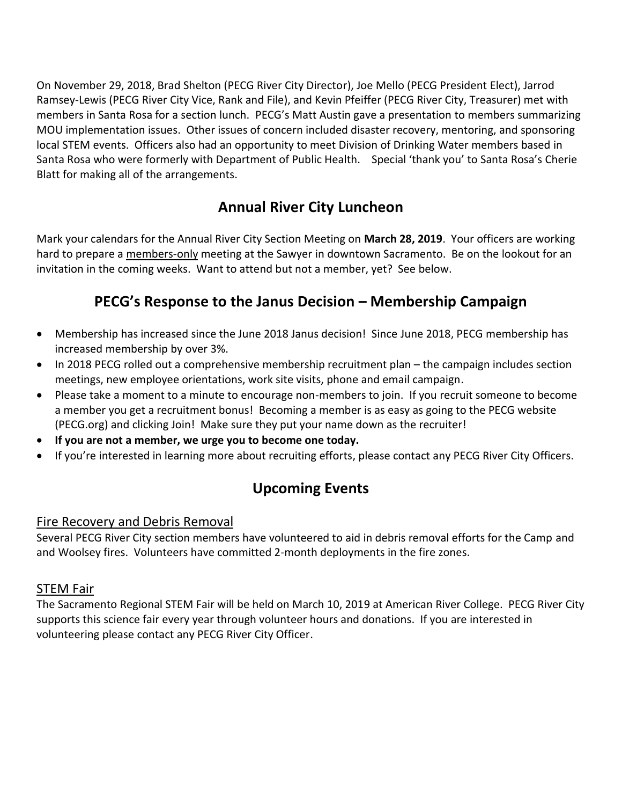On November 29, 2018, Brad Shelton (PECG River City Director), Joe Mello (PECG President Elect), Jarrod Ramsey-Lewis (PECG River City Vice, Rank and File), and Kevin Pfeiffer (PECG River City, Treasurer) met with members in Santa Rosa for a section lunch. PECG's Matt Austin gave a presentation to members summarizing MOU implementation issues. Other issues of concern included disaster recovery, mentoring, and sponsoring local STEM events. Officers also had an opportunity to meet Division of Drinking Water members based in Santa Rosa who were formerly with Department of Public Health. Special 'thank you' to Santa Rosa's Cherie Blatt for making all of the arrangements.

## **Annual River City Luncheon**

Mark your calendars for the Annual River City Section Meeting on **March 28, 2019**. Your officers are working hard to prepare a members-only meeting at the Sawyer in downtown Sacramento. Be on the lookout for an invitation in the coming weeks. Want to attend but not a member, yet? See below.

### **PECG's Response to the Janus Decision – Membership Campaign**

- Membership has increased since the June 2018 Janus decision! Since June 2018, PECG membership has increased membership by over 3%.
- In 2018 PECG rolled out a comprehensive membership recruitment plan the campaign includes section meetings, new employee orientations, work site visits, phone and email campaign.
- Please take a moment to a minute to encourage non-members to join. If you recruit someone to become a member you get a recruitment bonus! Becoming a member is as easy as going to the PECG website (PECG.org) and clicking Join! Make sure they put your name down as the recruiter!
- **If you are not a member, we urge you to become one today.**
- If you're interested in learning more about recruiting efforts, please contact any PECG River City Officers.

# **Upcoming Events**

### Fire Recovery and Debris Removal

Several PECG River City section members have volunteered to aid in debris removal efforts for the Camp and and Woolsey fires. Volunteers have committed 2-month deployments in the fire zones.

### STEM Fair

The Sacramento Regional STEM Fair will be held on March 10, 2019 at American River College. PECG River City supports this science fair every year through volunteer hours and donations. If you are interested in volunteering please contact any PECG River City Officer.